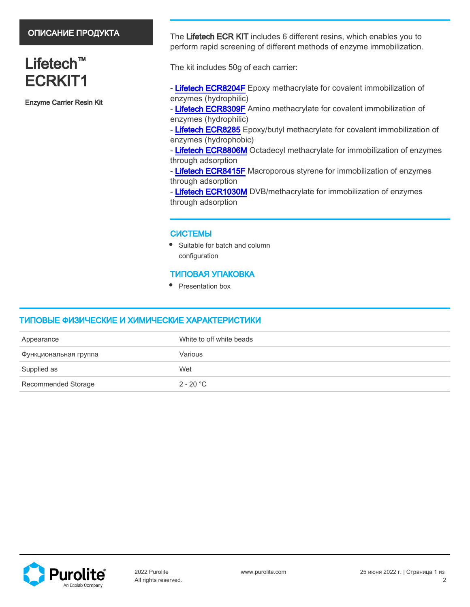# ОПИСАНИЕ ПРОДУКТА

# Lifetech<sup>™</sup> ECRKIT1

Enzyme Carrier Resin Kit

The Lifetech ECR KIT includes 6 different resins, which enables you to perform rapid screening of different methods of enzyme immobilization.

The kit includes 50g of each carrier:

- - [Lifetech ECR8204F](https://www.purolite.com/products/ecr8204f) Epoxy methacrylate for covalent immobilization of enzymes (hydrophilic)
- - [Lifetech ECR8309F](https://www.purolite.com/products/ecr8309f) Amino methacrylate for covalent immobilization of enzymes (hydrophilic)
- - [Lifetech ECR8285](https://www.purolite.com/products/ecr8285) Epoxy/butyl methacrylate for covalent immobilization of enzymes (hydrophobic)
- - [Lifetech ECR8806M](https://www.purolite.com/products/ecr8806m) Octadecyl methacrylate for immobilization of enzymes through adsorption
- - [Lifetech ECR8415F](https://www.purolite.com/products/ecr8415f) Macroporous styrene for immobilization of enzymes through adsorption
- - [Lifetech ECR1030M](https://www.purolite.com/products/ecr1030m) DVB/methacrylate for immobilization of enzymes through adsorption

### СИСТЕМЫ

• Suitable for batch and column configuration

## ТИПОВАЯ УПАКОВКА

• Presentation box

## ТИПОВЫЕ ФИЗИЧЕСКИЕ И ХИМИЧЕСКИЕ ХАРАКТЕРИСТИКИ

| Appearance            | White to off white beads |
|-----------------------|--------------------------|
| Функциональная группа | Various                  |
| Supplied as           | Wet                      |
| Recommended Storage   | 2 - 20 °C                |